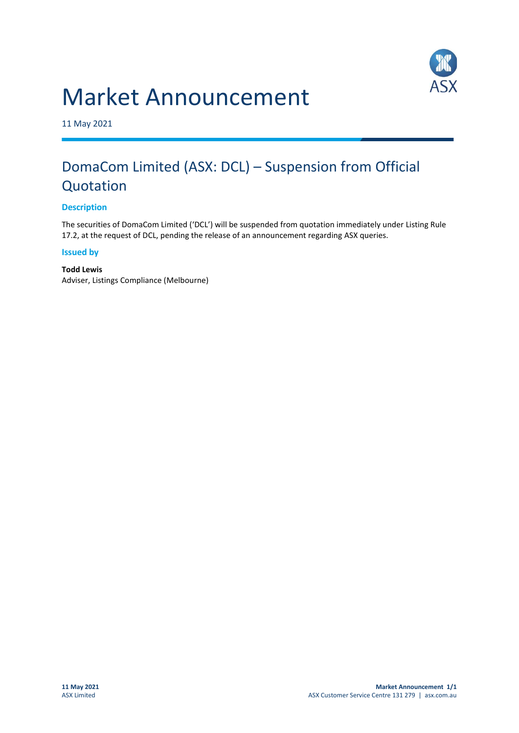# Market Announcement



11 May 2021

# DomaCom Limited (ASX: DCL) – Suspension from Official Quotation

### **Description**

The securities of DomaCom Limited ('DCL') will be suspended from quotation immediately under Listing Rule 17.2, at the request of DCL, pending the release of an announcement regarding ASX queries.

#### **Issued by**

#### **Todd Lewis** Adviser, Listings Compliance (Melbourne)